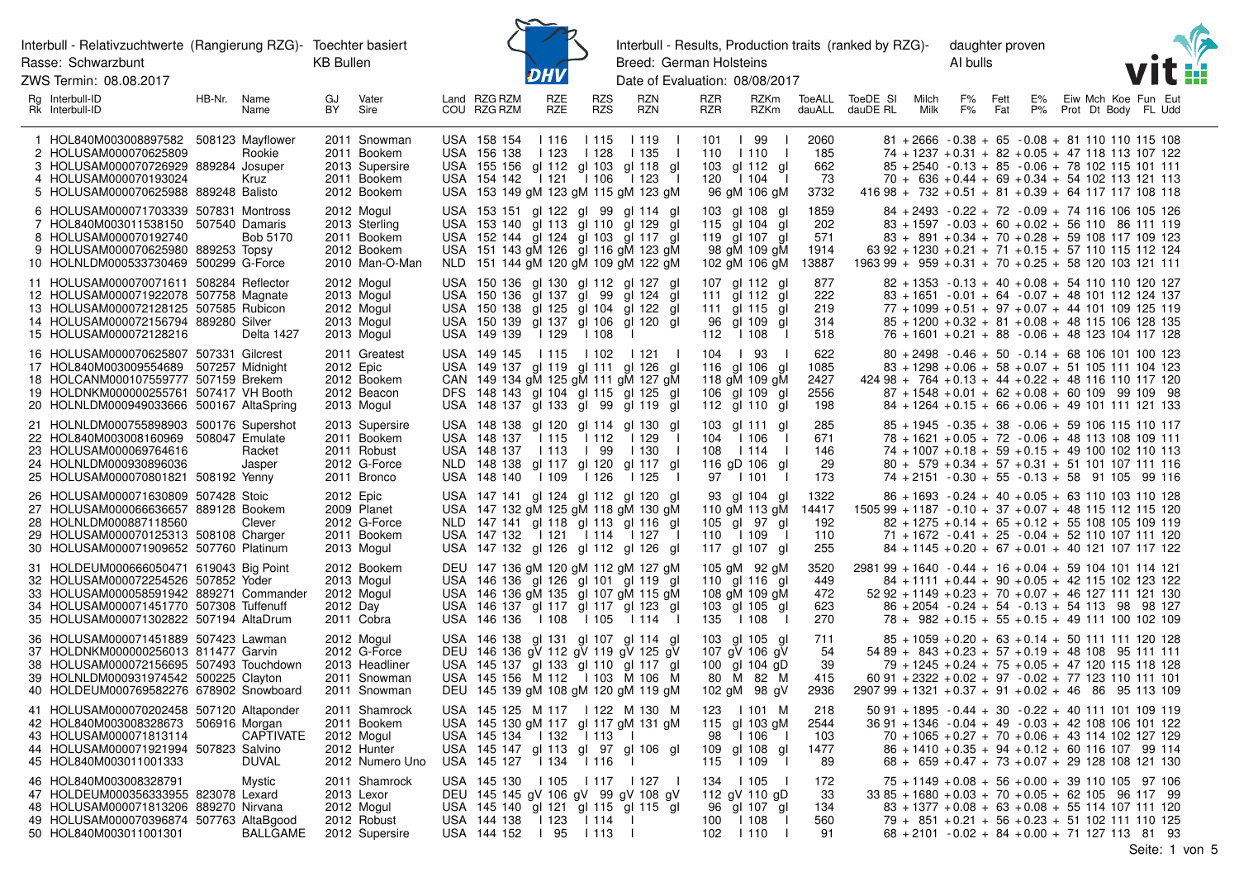ZWS Termin: 08.08.2017



Interbull - Results, Production traits (ranked by RZG)-Breed: German Holsteins

daughter proven Al bulls



Date of Evaluation: 08/08/2017

| Rg Interbull-ID<br>Rk Interbull-ID                                                                                                                                                                             | HB-Nr. Name | Name                      | GJ<br>BY. | Vater<br>Sire                                                                | Land RZG RZM<br>COU RZG RZM                                | RZE<br>RZE              | <b>RZS</b><br><b>RZS</b> | <b>RZN</b><br><b>RZN</b>                                                                                                                                                                       | <b>RZR</b><br><b>RZR</b> | <b>RZKm</b><br>RZKm                                                              | dauALL                              | ToeALL ToeDE SI<br>dauDE RL | Milch<br>Milk | F%<br>F% | Fett<br>Fat | E%<br>P% |  | Eiw Mch Koe Fun Eut<br>Prot Dt Body FL Udd                                                                                                                                                                                                                                       |
|----------------------------------------------------------------------------------------------------------------------------------------------------------------------------------------------------------------|-------------|---------------------------|-----------|------------------------------------------------------------------------------|------------------------------------------------------------|-------------------------|--------------------------|------------------------------------------------------------------------------------------------------------------------------------------------------------------------------------------------|--------------------------|----------------------------------------------------------------------------------|-------------------------------------|-----------------------------|---------------|----------|-------------|----------|--|----------------------------------------------------------------------------------------------------------------------------------------------------------------------------------------------------------------------------------------------------------------------------------|
| 1 HOL840M003008897582 508123 Mayflower<br>2 HOLUSAM000070625809<br>3 HOLUSAM000070726929 889284 Josuper<br>4 HOLUSAM000070193024<br>5 HOLUSAM000070625988 889248 Balisto                                       |             | Rookie<br>Kruz            |           | 2011 Snowman<br>2011 Bookem<br>2013 Supersire<br>2011 Bookem<br>2012 Bookem  | USA 158 154<br>USA 156 138<br>USA 154 142                  | 1116<br>1123<br>  121   | l 115<br>1128<br>l 106   | l 119<br>1135<br>USA 155 156 gl 112 gl 103 gl 118 gl<br>l 123<br>USA 153 149 gM 123 gM 115 gM 123 gM                                                                                           | 101<br>110<br>103<br>120 | 99<br>l 110<br>gl 112 gl<br>1104<br>96 gM 106 gM                                 | 2060<br>185<br>662<br>73<br>3732    |                             |               |          |             |          |  | $81 + 2666 - 0.38 + 65 - 0.08 + 81 110 110 115 108$<br>$74 + 1237 + 0.31 + 82 + 0.05 + 47$ 118 113 107 122<br>$85 + 2540 - 0.13 + 85 - 0.06 + 78$ 102 115 101 111<br>$70 + 636 + 0.44 + 69 + 0.34 + 54$ 102 113 121 113<br>$41698 + 732 + 0.51 + 81 + 0.39 + 64$ 117 117 108 118 |
| 6 HOLUSAM000071703339 507831 Montross<br>7 HOL840M003011538150 507540 Damaris<br>8 HOLUSAM000070192740<br>9 HOLUSAM000070625980 889253 Topsy<br>10 HOLNLDM000533730469 500299 G-Force                          |             | Bob 5170                  |           | 2012 Mogul<br>2013 Sterling<br>2011 Bookem<br>2012 Bookem<br>2010 Man-O-Man  |                                                            |                         |                          | USA 153 151 gl 122 gl 99 gl 114 gl<br>USA 153 140 gl 113 gl 110 gl 129 gl<br>USA 152 144 gl 124 gl 103 gl 117 gl<br>USA 151 143 gM 126 gl 116 gM 123 gM<br>NLD 151 144 gM 120 gM 109 gM 122 gM |                          | 103 gl 108 gl<br>115 gl 104 gl<br>119 gl 107 gl<br>98 gM 109 gM<br>102 gM 106 gM | 1859<br>202<br>571<br>1914<br>13887 |                             |               |          |             |          |  | 84 + 2493 - 0.22 + 72 - 0.09 + 74 116 106 105 126<br>$83 + 1597 - 0.03 + 60 + 0.02 + 56$ 110 86 111 119<br>$83 + 891 + 0.34 + 70 + 0.28 + 59$ 108 117 109 123<br>$6392 + 1230 + 0.21 + 71 + 0.15 + 57110115112124$<br>$1963$ 99 + 959 + 0.31 + 70 + 0.25 + 58 120 103 121 111    |
| 11 HOLUSAM000070071611 508284 Reflector<br>12 HOLUSAM000071922078 507758 Magnate<br>13 HOLUSAM000072128125 507585 Rubicon<br>14 HOLUSAM000072156794 889280 Silver<br>15 HOLUSAM000072128216                    |             | Delta 1427                |           | 2012 Mogul<br>2013 Mogul<br>2012 Mogul<br>2013 Mogul<br>2013 Mogul           | USA 149 139   129                                          |                         | l 108                    | USA 150 136 gl 130 gl 112 gl 127 gl<br>USA 150 136 gl 137 gl 99 gl 124 gl<br>USA 150 138 gl 125 gl 104 gl 122 gl<br>USA 150 139 gl 137 gl 106 gl 120 gl                                        | 96<br>112                | 107 gl 112 gl<br>111 gl 112 gl<br>111 gl 115 gl<br>gl 109 gl<br>l 108            | 877<br>222<br>219<br>314<br>518     |                             |               |          |             |          |  | $82 + 1353 - 0.13 + 40 + 0.08 + 54$ 110 110 120 127<br>$83 + 1651 - 0.01 + 64 - 0.07 + 48$ 101 112 124 137<br>$77 + 1099 + 0.51 + 97 + 0.07 + 44$ 101 109 125 119<br>$85 + 1200 + 0.32 + 81 + 0.08 + 48$ 115 106 128 135<br>$76 + 1601 + 0.21 + 88 - 0.06 + 48123104117128$      |
| 16 HOLUSAM000070625807 507331 Gilcrest<br>17 HOL840M003009554689 507257 Midnight<br>18 HOLCANM000107559777 507159 Brekem<br>19 HOLDNKM000000255761 507417 VH Booth<br>20 HOLNLDM000949033666 500167 AltaSpring |             |                           |           | 2011 Greatest<br>2012 Epic<br>2012 Bookem<br>2012 Beacon<br>2013 Mogul       | USA 149 145   115   102                                    |                         |                          | 121  <br>USA 149 137 gl 119 gl 111 gl 126 gl<br>CAN 149 134 gM 125 gM 111 gM 127 gM<br>DFS 148 143 gl 104 gl 115 gl 125 gl<br>USA 148 137 gl 133 gl 99 gl 119 gl                               | 104                      | l 93<br>116 gl 106 gl<br>118 gM 109 gM<br>106 gl 109 gl<br>112 gl 110 gl         | 622<br>1085<br>2427<br>2556<br>198  |                             |               |          |             |          |  | $80 + 2498 - 0.46 + 50 - 0.14 + 68$ 106 101 100 123<br>$83 + 1298 + 0.06 + 58 + 0.07 + 51$ 105 111 104 123<br>$42498 + 764 + 0.13 + 44 + 0.22 + 48116110117120$<br>$87 + 1548 + 0.01 + 62 + 0.08 + 60$ 109 99 109 98<br>$84 + 1264 + 0.15 + 66 + 0.06 + 49$ 101 111 121 133      |
| 21 HOLNLDM000755898903 500176 Supershot<br>22 HOL840M003008160969 508047 Emulate<br>23 HOLUSAM000069764616<br>24 HOLNLDM000930896036<br>25 HOLUSAM000070801821 508192 Yenny                                    |             | Racket<br>Jasper          |           | 2013 Supersire<br>2011 Bookem<br>2011 Robust<br>2012 G-Force<br>2011 Bronco  | USA 148 137<br>USA 148 137<br>USA 148 140                  | l 115<br>l 113<br>l 109 | l 112<br>  99<br>l 126   | USA 148 138 gl 120 gl 114 gl 130 gl<br>l 129<br>l 130<br>NLD 148 138 gl 117 gl 120 gl 117 gl<br>l 125                                                                                          | 103<br>104<br>108<br>97  | gl 111 gl<br>l 106<br>l 114<br>116 gD 106 gl<br>l 101                            | 285<br>671<br>146<br>29<br>173      |                             |               |          |             |          |  | $85 + 1945 - 0.35 + 38 - 0.06 + 59$ 106 115 110 117<br>$78 + 1621 + 0.05 + 72 - 0.06 + 48$ 113 108 109 111<br>$74 + 1007 + 0.18 + 59 + 0.15 + 49$ 100 102 110 113<br>$80 + 579 + 0.34 + 57 + 0.31 + 51$ 101 107 111 116<br>$74 + 2151 - 0.30 + 55 - 0.13 + 58$ 91 105 99 116     |
| 26 HOLUSAM000071630809 507428 Stoic<br>27 HOLUSAM000066636657 889128 Bookem<br>28 HOLNLDM000887118560<br>29 HOLUSAM000070125313 508108 Charger<br>30 HOLUSAM000071909652 507760 Platinum                       |             | Clever                    |           | 2012 Epic<br>2009 Planet<br>2012 G-Force<br>2011 Bookem<br>2013 Mogul        |                                                            |                         |                          | USA 147 141 gl 124 gl 112 gl 120 gl<br>USA 147 132 gM 125 gM 118 gM 130 gM<br>NLD 147 141 gl 118 gl 113 gl 116 gl<br>USA 147 132   121   114   127  <br>USA 147 132 gl 126 gl 112 gl 126 gl    | 110                      | 93 al 104 al<br>110 gM 113 gM<br>105 al 97 al<br>l 109<br>117 gl 107 gl          | 1322<br>14417<br>192<br>110<br>255  |                             |               |          |             |          |  | $86 + 1693 - 0.24 + 40 + 0.05 + 63$ 110 103 110 128<br>$150599 + 1187 - 0.10 + 37 + 0.07 + 48115112115120$<br>$82 + 1275 + 0.14 + 65 + 0.12 + 55$ 108 105 109 119<br>71 + 1672 - 0.41 + 25 - 0.04 + 52 110 107 111 120<br>$84 + 1145 + 0.20 + 67 + 0.01 + 40$ 121 107 117 122    |
| 31 HOLDEUM000666050471 619043 Big Point<br>32 HOLUSAM000072254526 507852 Yoder<br>33 HOLUSAM000058591942 889271 Commander<br>34 HOLUSAM000071451770 507308 Tuffenuff<br>35 HOLUSAM000071302822 507194 AltaDrum |             |                           | 2012 Day  | 2012 Bookem<br>2013 Mogul<br>2012 Mogul<br>2011 Cobra                        | USA 146 136                                                | l 108                   | l 105                    | DEU 147 136 gM 120 gM 112 gM 127 gM<br>USA 146 136 gl 126 gl 101 gl 119 gl<br>USA 146 136 gM 135 gl 107 gM 115 gM<br>USA 146 137 gl 117 gl 117 gl 123 gl<br>$1114$ $1$                         | 135                      | 105 gM 92 gM<br>110 gl 116 gl<br>108 gM 109 gM<br>103 gl 105 gl<br>l 108         | 3520<br>449<br>472<br>623<br>270    |                             |               |          |             |          |  | $298199 + 1640 - 0.44 + 16 + 0.04 + 59104101114121$<br>84 + 1111 + 0.44 + 90 + 0.05 + 42 115 102 123 122<br>$5292 + 1149 + 0.23 + 70 + 0.07 + 46127111121130$<br>$86 + 2054 - 0.24 + 54 - 0.13 + 54113$ 98 98 127<br>$78 + 982 + 0.15 + 55 + 0.15 + 49$ 111 100 102 109          |
| 36 HOLUSAM000071451889 507423 Lawman<br>37 HOLDNKM000000256013 811477 Garvin<br>38 HOLUSAM000072156695 507493 Touchdown<br>39 HOLNLDM000931974542 500225 Clayton<br>40 HOLDEUM000769582276 678902 Snowboard    |             |                           |           | 2012 Mogul<br>2012 G-Force<br>2013 Headliner<br>2011 Snowman<br>2011 Snowman |                                                            |                         |                          | USA 146 138 gl 131 gl 107 gl 114 gl<br>DEU 146 136 gV 112 gV 119 gV 125 gV<br>USA 145 137 gl 133 gl 110 gl 117 gl<br>USA 145 156 M 112   103 M 106 M<br>DEU 145 139 gM 108 gM 120 gM 119 gM    |                          | 103 gl 105 gl<br>107 gV 106 gV<br>100 gl $104$ gD<br>80 M 82 M<br>102 gM 98 gV   | 711<br>54<br>39<br>415<br>2936      |                             |               |          |             |          |  | $85 + 1059 + 0.20 + 63 + 0.14 + 50$ 111 111 120 128<br>$5489 + 843 + 0.23 + 57 + 0.19 + 48108$ 95 111 111<br>79 + 1245 + 0.24 + 75 + 0.05 + 47 120 115 118 128<br>$6091 + 2322 + 0.02 + 97 - 0.02 + 77123110111101$<br>$290799 + 1321 + 0.37 + 91 + 0.02 + 46$ 86 95 113 109     |
| 41 HOLUSAM000070202458 507120 Altaponder<br>42 HOL840M003008328673 506916 Morgan<br>43 HOLUSAM000071813114<br>44 HOLUSAM000071921994 507823 Salvino<br>45 HOL840M003011001333                                  |             | <b>CAPTIVATE</b><br>DUVAL |           | 2011 Shamrock<br>2011 Bookem<br>2012 Mogul<br>2012 Hunter<br>2012 Numero Uno | USA 145 134   132<br>USA 145 127   134                     |                         | l 113<br>l 116           | USA 145 125 M 117   122 M 130 M<br>USA 145 130 gM 117 gI 117 gM 131 gM<br>$\blacksquare$<br>USA 145 147 gl 113 gl 97 gl 106 gl                                                                 | 123<br>98<br>109<br>115  | l 101 M<br>115 gl 103 gM<br>l 106<br>gl 108 gl<br>1109                           | 218<br>2544<br>103<br>1477<br>89    |                             |               |          |             |          |  | $50.91 + 1895 - 0.44 + 30 - 0.22 + 40.111 101 109 119$<br>$3691 + 1346 - 0.04 + 49 - 0.03 + 42108106101122$<br>$70 + 1065 + 0.27 + 70 + 0.06 + 43$ 114 102 127 129<br>$86 + 1410 + 0.35 + 94 + 0.12 + 60$ 116 107 99 114<br>$68 + 659 + 0.47 + 73 + 0.07 + 29$ 128 108 121 130   |
| 46 HOL840M003008328791<br>47 HOLDEUM000356333955 823078 Lexard<br>48 HOLUSAM000071813206 889270 Nirvana<br>49 HOLUSAM000070396874 507763 AltaBgood<br>50 HOL840M003011001301                                   |             | Mystic<br><b>BALLGAME</b> |           | 2011 Shamrock<br>2013 Lexor<br>2012 Mogul<br>2012 Robust<br>2012 Supersire   | USA 145 130   105<br>USA 144 138<br>USA 144 152   95   113 | 123   114               |                          | 117   127  <br>DEU 145 145 gV 106 gV 99 gV 108 gV<br>USA 145 140 gl 121 gl 115 gl 115 gl                                                                                                       | 134<br>100<br>102        | l 105<br>112 gV 110 gD<br>96 gl 107 gl<br>l 108<br>  110                         | 172<br>33<br>134<br>560<br>91       |                             |               |          |             |          |  | $75 + 1149 + 0.08 + 56 + 0.00 + 3911010597106$<br>$3385 + 1680 + 0.03 + 70 + 0.05 + 62105$ 96 117 99<br>$83 + 1377 + 0.08 + 63 + 0.08 + 55$ 114 107 111 120<br>$79 + 851 + 0.21 + 56 + 0.23 + 51$ 102 111 110 125<br>$68 + 2101 - 0.02 + 84 + 0.00 + 71127113$ 81 93             |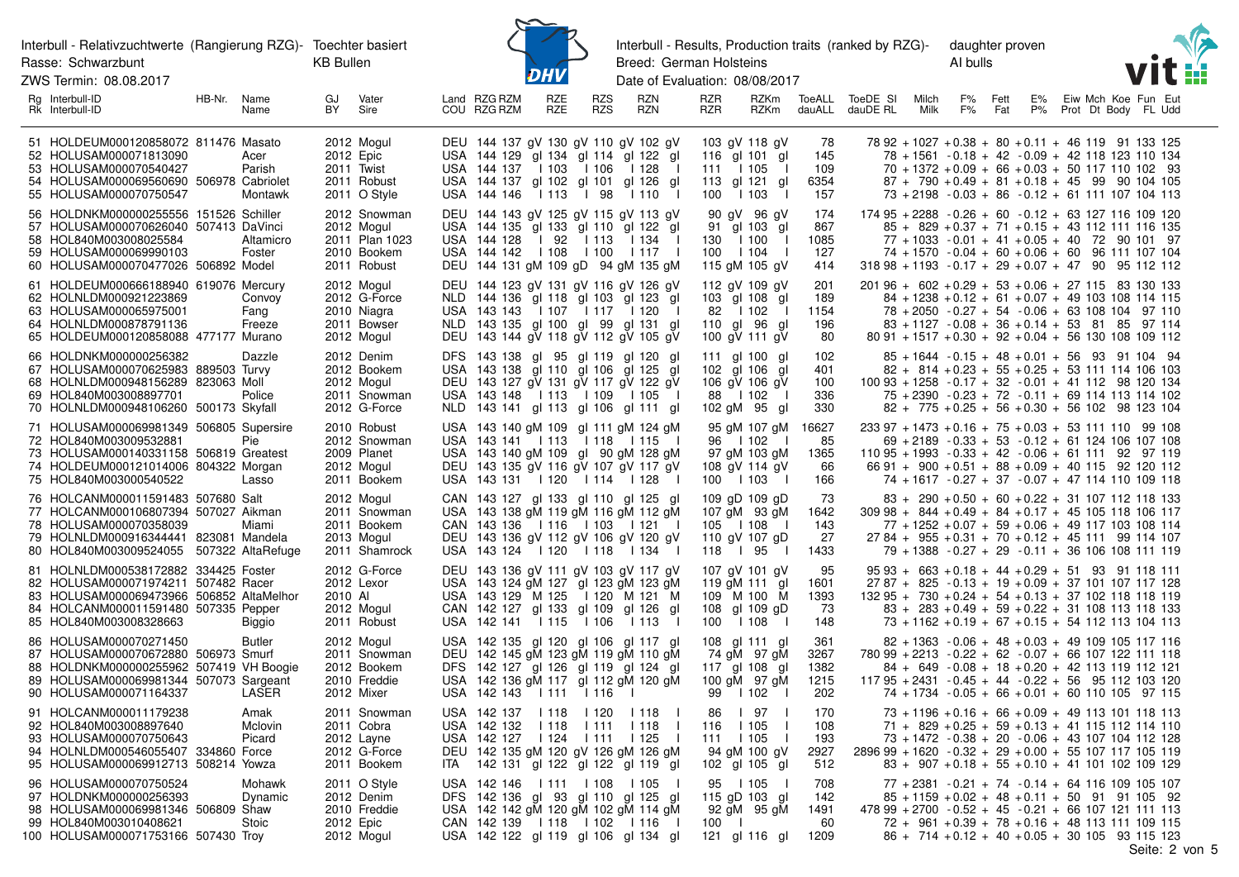ZWS Termin: 08.08.2017



Interbull - Results, Production traits (ranked by RZG)daughter proven Breed: German Holsteins

Al bulls



| Rg Interbull-ID<br>RK Interbull-ID                                                                                                                                                        | HB-Nr. Name  | Name                                  | GJ<br>BY | Vater<br>Sire                                                              |             | Land RZG RZM<br>COU RZG RZM                                                                                                                                                                | <b>RZE</b><br>RZE       | <b>RZS</b><br><b>RZS</b> | <b>RZN</b><br><b>RZN</b>                                    | <b>RZR</b><br><b>RZR</b> | <b>RZKm</b><br>RZKm                                                                           | dauALL                             | ToeALL ToeDE SI<br>dauDE RL                                                                                    | Milch<br>Milk | F%<br>F%                                                                                                                                                                                                                                                                      | Fett<br>Fat | E%<br>P% |  | Eiw Mch Koe Fun Eut<br>Prot Dt Body FL Udd |
|-------------------------------------------------------------------------------------------------------------------------------------------------------------------------------------------|--------------|---------------------------------------|----------|----------------------------------------------------------------------------|-------------|--------------------------------------------------------------------------------------------------------------------------------------------------------------------------------------------|-------------------------|--------------------------|-------------------------------------------------------------|--------------------------|-----------------------------------------------------------------------------------------------|------------------------------------|----------------------------------------------------------------------------------------------------------------|---------------|-------------------------------------------------------------------------------------------------------------------------------------------------------------------------------------------------------------------------------------------------------------------------------|-------------|----------|--|--------------------------------------------|
| 51 HOLDEUM000120858072 811476 Masato<br>52 HOLUSAM000071813090<br>53 HOLUSAM000070540427<br>54 HOLUSAM000069560690 506978 Cabriolet<br>55 HOLUSAM000070750547                             |              | Acer<br>Parish<br>Montawk             |          | 2012 Mogul<br>2012 Epic<br>2011 Twist<br>2011 Robust<br>2011 O Style       |             | DEU 144 137 gV 130 gV 110 gV 102 gV<br>USA 144 129<br>USA 144 137<br>USA 144 137 gl 102 gl 101 gl 126 gl<br>USA 144 146                                                                    | l 103<br>  113   98     | l 106                    | gl 134 gl 114 gl 122 gl<br>l 128<br>l 110<br>$\blacksquare$ | 111<br>100               | 103 gV 118 gV<br>116 gl 101 gl<br>l 105<br>$\perp$<br>113 gl 121<br>gl<br>l 103               | 78<br>145<br>109<br>6354<br>157    |                                                                                                                |               | 78 92 + 1027 + 0.38 + 80 + 0.11 + 46 119 91 133 125<br>78 + 1561 - 0.18 + 42 - 0.09 + 42 118 123 110 134<br>$70 + 1372 + 0.09 + 66 + 0.03 + 50 117 110 102 93$<br>$87 + 790 + 0.49 + 81 + 0.18 + 45$ 99 90 104 105<br>$73 + 2198 - 0.03 + 86 - 0.12 + 61 111 107 104 113$     |             |          |  |                                            |
| 56 HOLDNKM000000255556 151526 Schiller<br>57 HOLUSAM000070626040<br>58 HOL840M003008025584<br>59 HOLUSAM000069990103<br>60 HOLUSAM000070477026 506892 Model                               |              | 507413 DaVinci<br>Altamicro<br>Foster |          | 2012 Snowman<br>2012 Mogul<br>2011 Plan 1023<br>2010 Bookem<br>2011 Robust |             | DEU 144 143 gV 125 gV 115 gV 113 gV<br>USA 144 135 gl 133 gl 110 gl 122 gl<br>USA 144 128<br>USA 144 142   108   100<br>DEU 144 131 gM 109 gD 94 gM 135 gM                                 | l 92                    | 113                      | l 134<br>l 117<br>- 1                                       | 130<br>100               | 90 gV 96 gV<br>91 gl 103 gl<br>l 100<br>$\perp$<br>1104<br>115 gM 105 gV                      | 174<br>867<br>1085<br>127<br>414   | $17495 + 2288 - 0.26 + 60 - 0.12 + 63127116109120$<br>$31898 + 1193 - 0.17 + 29 + 0.07 + 47$ 90 95 112 112     |               | $85 + 829 + 0.37 + 71 + 0.15 + 43$ 112 111 116 135<br>$77 + 1033 - 0.01 + 41 + 0.05 + 40$ 72 90 101 97<br>74 + 1570 - 0.04 + 60 + 0.06 + 60 96 111 107 104                                                                                                                    |             |          |  |                                            |
| 61 HOLDEUM000666188940 619076 Mercury<br>62 HOLNLDM000921223869<br>63 HOLUSAM000065975001<br>64 HOLNLDM000878791136<br>65 HOLDEUM000120858088 477177 Murano                               |              | Convoy<br>Fang<br>Freeze              |          | 2012 Mogul<br>2012 G-Force<br>2010 Niagra<br>2011 Bowser<br>2012 Mogul     |             | DEU 144 123 gV 131 gV 116 gV 126 gV<br>NLD 144 136 gl 118 gl 103 gl 123 gl<br>USA 143 143   107   117<br>NLD 143 135 gl 100 gl 99 gl 131 gl<br>DEU 143 144 gV 118 gV 112 gV 105 gV         |                         |                          | l 120                                                       | 82                       | 112 gV 109 gV<br>103 gl 108 gl<br>l 102<br>-1<br>110 gl 96<br>gl<br>100 gV 111 gV             | 201<br>189<br>1154<br>196<br>80    | $20196 + 602 + 0.29 + 53 + 0.06 + 27115$ 83 130 133                                                            |               | $84 + 1238 + 0.12 + 61 + 0.07 + 49$ 103 108 114 115<br>$78 + 2050 - 0.27 + 54 - 0.06 + 6310810497110$<br>$83 + 1127 - 0.08 + 36 + 0.14 + 53$ 81 85 97 114<br>$80.91 + 1517 + 0.30 + 92 + 0.04 + 56.130.108.109.112$                                                           |             |          |  |                                            |
| 66 HOLDNKM000000256382<br>67 HOLUSAM000070625983 889503 Turvy<br>68 HOLNLDM000948156289 823063 Moll<br>69 HOL840M003008897701<br>70 HOLNLDM000948106260 500173 Skyfall                    |              | Dazzle<br>Police                      |          | 2012 Denim<br>2012 Bookem<br>2012 Mogul<br>2011 Snowman<br>2012 G-Force    |             | DFS 143 138 gl 95 gl 119 gl 120 gl<br>USA 143 138 gl 110 gl 106 gl 125 gl<br>DEU 143 127 gV 131 gV 117 gV 122 gV<br>USA 143 148   113   109   105  <br>NLD 143 141 gl 113 gl 106 gl 111 gl |                         |                          |                                                             |                          | 111 gl 100 gl<br>102 gl 106 gl<br>106 gV 106 gV<br>88   102<br>$\blacksquare$<br>102 gM 95 gl | 102<br>401<br>100<br>336<br>330    |                                                                                                                |               | $85 + 1644 - 0.15 + 48 + 0.01 + 56$ 93 91 104 94<br>$82 + 814 + 0.23 + 55 + 0.25 + 53$ 111 114 106 103<br>$10093 + 1258 - 0.17 + 32 - 0.01 + 4112$ 98 120 134<br>$75 + 2390 - 0.23 + 72 - 0.11 + 69$ 114 113 114 102<br>$82 + 775 + 0.25 + 56 + 0.30 + 56$ 102 98 123 104     |             |          |  |                                            |
| 71 HOLUSAM000069981349 506805 Supersire<br>72 HOL840M003009532881<br>73 HOLUSAM000140331158 506819 Greatest<br>74 HOLDEUM000121014006 804322 Morgan<br>75 HOL840M003000540522             |              | Pie<br>Lasso                          |          | 2010 Robust<br>2012 Snowman<br>2009 Planet<br>2012 Mogul<br>2011 Bookem    |             | USA 143 140 gM 109 gl 111 gM 124 gM<br>USA 143 141   113   118   115  <br>USA 143 140 gM 109 gl 90 gM 128 gM<br>DEU 143 135 gV 116 gV 107 gV 117 gV<br>USA 143 131   120   114   128       |                         |                          |                                                             |                          | 95 gM 107 gM<br>96   102<br>97 gM 103 gM<br>108 gV 114 gV<br>100   103                        | 16627<br>85<br>1365<br>66<br>166   |                                                                                                                |               | $233\,97 + 1473 + 0.16 + 75 + 0.03 + 53\,111\,110\,99\,108$<br>$69 + 2189 - 0.33 + 53 - 0.12 + 61124106107108$<br>$11095 + 1993 - 0.33 + 42 - 0.06 + 611119297119$<br>$6691 + 900 + 0.51 + 88 + 0.09 + 40115$ 92 120 112<br>74 + 1617 - 0.27 + 37 - 0.07 + 47 114 110 109 118 |             |          |  |                                            |
| 76 HOLCANM000011591483 507680 Salt<br>77 HOLCANM000106807394 507027 Aikman<br>78 HOLUSAM000070358039<br>79 HOLNLDM000916344441 823081 Mandela<br>80 HOL840M003009524055 507322 AltaRefuge |              | Miami                                 |          | 2012 Mogul<br>2011 Snowman<br>2011 Bookem<br>2013 Mogul<br>2011 Shamrock   |             | CAN 143 127 gl 133 gl 110 gl 125 gl<br>USA 143 138 gM 119 gM 116 gM 112 gM<br>CAN 143 136 1 116 1 103 1 121 1<br>DEU 143 136 gV 112 gV 106 gV 120 gV<br>USA 143 124   120   118            |                         |                          | $\vert$ 134 $\vert$                                         | 118                      | 109 gD 109 gD<br>107 gM 93 gM<br>105   108<br>- 1<br>110 gV 107 gD<br>l 95<br>- 1             | -73<br>1642<br>143<br>27<br>1433   |                                                                                                                |               | $83 + 290 + 0.50 + 60 + 0.22 + 31$ 107 112 118 133<br>$30998 + 844 + 0.49 + 84 + 0.17 + 45105118106117$<br>$77 + 1252 + 0.07 + 59 + 0.06 + 49$ 117 103 108 114<br>$2784 + 955 + 0.31 + 70 + 0.12 + 45111$ 99 114 107<br>79 + 1388 - 0.27 + 29 - 0.11 + 36 106 108 111 119     |             |          |  |                                            |
| 81 HOLNLDM000538172882 334425 Foster<br>82 HOLUSAM000071974211 507482 Racer<br>83 HOLUSAM000069473966 506852 AltaMelhor<br>84 HOLCANM000011591480 507335 Pepper<br>85 HOL840M003008328663 |              | <b>Biggio</b>                         | 2010 Al  | 2012 G-Force<br>2012 Lexor<br>2012 Mogul<br>2011 Robust                    |             | DEU 143 136 gV 111 gV 103 gV 117 gV<br>USA 143 124 gM 127 gl 123 gM 123 gM<br>USA 143 129 M 125   120 M 121 M<br>CAN 142 127 gl 133 gl 109 gl 126 gl<br>USA 142 141                        | 115                     | l 106                    | 113                                                         | 100                      | 107 gV 101 gV<br>119 gM 111<br>gl<br>109 M 100 M<br>108 gl 109 gD<br>1108                     | 95<br>1601<br>1393<br>-73<br>148   |                                                                                                                |               | $95\,93 + 663 + 0.18 + 44 + 0.29 + 51$ 93 91 118 111<br>$2787 + 825 - 0.13 + 19 + 0.09 + 37101107117128$<br>$13295 + 730 + 0.24 + 54 + 0.13 + 37102118118119$<br>$83 + 283 + 0.49 + 59 + 0.22 + 31$ 108 113 118 133<br>$73 + 1162 + 0.19 + 67 + 0.15 + 54$ 112 113 104 113    |             |          |  |                                            |
| 86 HOLUSAM000070271450<br>87 HOLUSAM000070672880 506973 Smurf<br>88 HOLDNKM000000255962 507419 VH Boogie<br>89 HOLUSAM000069981344 507073 Sargeant<br>90 HOLUSAM000071164337              |              | <b>Butler</b><br>LASER                |          | 2012 Mogul<br>2011 Snowman<br>2012 Bookem<br>2010 Freddie<br>2012 Mixer    |             | USA 142 135 gl 120 gl 106 gl 117 gl<br>DEU 142 145 gM 123 gM 119 gM 110 gM<br>DFS 142 127 gl 126 gl 119 gl 124 gl<br>USA 142 136 gM 117 gl 112 gM 120 gM<br>USA 142 143   111              |                         | l 116                    |                                                             | 99                       | 108 gl 111 gl<br>74 gM 97 gM<br>117 gl 108 gl<br>100 gM 97 gM<br>1102                         | 361<br>3267<br>1382<br>1215<br>202 | 780 99 + 2213 - 0.22 + 62 - 0.07 + 66 107 122 111 118<br>$11795 + 2431 - 0.45 + 44 - 0.22 + 56$ 95 112 103 120 |               | $82 + 1363 - 0.06 + 48 + 0.03 + 49$ 109 105 117 116<br>$84 + 649 - 0.08 + 18 + 0.20 + 42$ 113 119 112 121<br>74 + 1734 - 0.05 + 66 + 0.01 + 60 110 105 97 115                                                                                                                 |             |          |  |                                            |
| 91 HOLCANM000011179238<br>92 HOL840M003008897640<br>93 HOLUSAM000070750643<br>94 HOLNLDM000546055407<br>95 HOLUSAM000069912713 508214 Yowza                                               | 334860 Force | Amak<br>Mclovin<br>Picard             |          | 2011 Snowman<br>2011 Cobra<br>2012 Layne<br>2012 G-Force<br>2011 Bookem    | DEU<br>ITA. | USA 142 137<br>USA 142 132<br>USA 142 127<br>142 135 gM 120 gV 126 gM 126 gM<br>142 131 gl 122 gl 122 gl 119 gl                                                                            | l 118<br>l 118<br>l 124 | l 120<br>1111<br>1111    | l 118<br>1118<br>$\mathbf{I}$<br>1125                       | 86<br>116<br>111         | l 97<br>l 105<br>l 105<br>94 gM 100 gV<br>102 gl 105 gl                                       | 170<br>108<br>193<br>2927<br>512   | 2896 99 + 1620 - 0.32 + 29 + 0.00 + 55 107 117 105 119                                                         |               | $73 + 1196 + 0.16 + 66 + 0.09 + 49$ 113 101 118 113<br>$71 + 829 + 0.25 + 59 + 0.13 + 41$ 115 112 114 110<br>73 + 1472 - 0.38 + 20 - 0.06 + 43 107 104 112 128<br>$83 + 907 + 0.18 + 55 + 0.10 + 41$ 101 102 109 129                                                          |             |          |  |                                            |
| 96 HOLUSAM000070750524<br>97 HOLDNKM000000256393<br>98 HOLUSAM000069981346 506809 Shaw<br>99 HOL840M003010408621<br>100 HOLUSAM000071753166 507430 Troy                                   |              | Mohawk<br>Dynamic<br>Stoic            |          | 2011 O Style<br>2012 Denim<br>2010 Freddie<br>2012 Epic<br>2012 Mogul      |             | USA 142 146<br>DFS 142 136 gl 93 gl 110 gl 125 gl<br>USA 142 142 gM 120 gM 102 gM 114 gM<br>CAN 142 139   118   102   116  <br>USA 142 122 gl 119 gl 106 gl 134 gl                         | 111   108               |                          | l 105                                                       | 100                      | 95   105<br>115 gD 103 gl<br>92 gM 95 gM<br>121 gl 116 gl                                     | 708<br>142<br>1491<br>60<br>1209   | $47899 + 2700 - 0.52 + 45 - 0.21 + 66107121111113$                                                             |               | $77 + 2381 - 0.21 + 74 - 0.14 + 64$ 116 109 105 107<br>$85 + 1159 + 0.02 + 48 + 0.11 + 50$ 91 91 105 92<br>$72 + 961 + 0.39 + 78 + 0.16 + 48$ 113 111 109 115<br>$86 + 714 + 0.12 + 40 + 0.05 + 30 105 93 115 123$                                                            |             |          |  |                                            |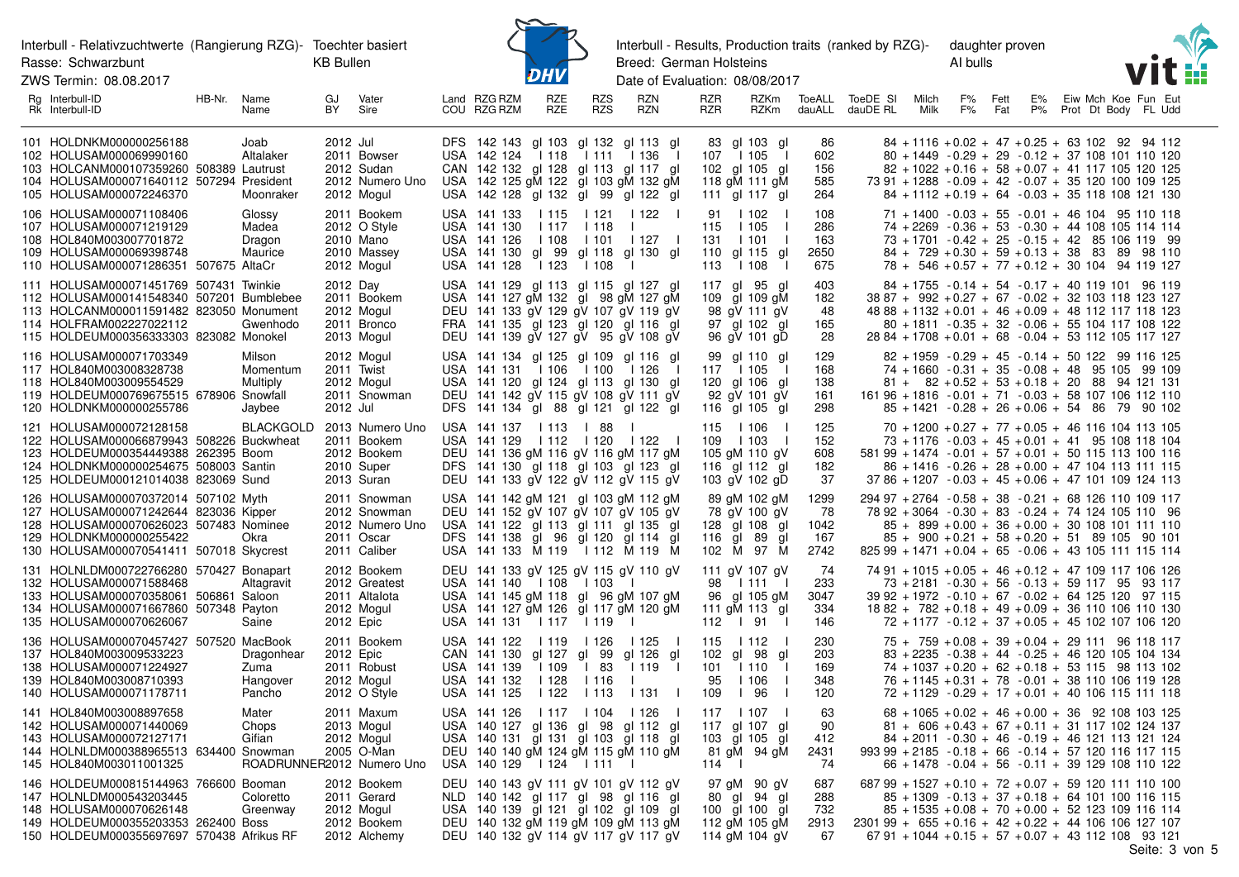ZWS Termin: 08.08.2017



Interbull - Results, Production traits (ranked by RZG)-Breed: German Holsteins

daughter proven Al bulls



| Rq<br>Interbull-ID<br>Rk Interbull-ID                                                                                                                                                              | HB-Nr.<br>Name<br>Name                   | GJ<br>Vater<br>BY<br>Sire                                                           | RZG RZM<br>RZE<br>Land<br>RZE<br>COU RZG RZM                                                                                                                                                   | RZN<br><b>RZS</b><br><b>RZS</b><br><b>RZN</b>                                                      | RZR<br>RZKm<br><b>RZR</b><br>RZKm                                                                 | ToeALL<br>dauALL                  | ToeDE<br>SI<br>E%<br>Eiw Mch Koe Fun Eut<br>Milch<br>F%<br>Fett<br>P%<br>Prot Dt Body<br>dauDE RL<br>Milk<br>F%<br>Fat<br>FL Udd                                                                                                                                                                |
|----------------------------------------------------------------------------------------------------------------------------------------------------------------------------------------------------|------------------------------------------|-------------------------------------------------------------------------------------|------------------------------------------------------------------------------------------------------------------------------------------------------------------------------------------------|----------------------------------------------------------------------------------------------------|---------------------------------------------------------------------------------------------------|-----------------------------------|-------------------------------------------------------------------------------------------------------------------------------------------------------------------------------------------------------------------------------------------------------------------------------------------------|
| 101 HOLDNKM000000256188<br>102 HOLUSAM000069990160<br>103 HOLCANM000107359260 508389 Lautrust<br>104 HOLUSAM000071640112 507294 President<br>105 HOLUSAM000072246370                               | Joab<br>Altalaker<br>Moonraker           | 2012 Jul<br>2011 Bowser<br>2012 Sudan<br>2012 Numero Uno<br>2012 Mogul              | DFS 142 143 gl 103 gl 132 gl 113 gl<br>USA 142 124<br>l 118<br>CAN 142 132 gl 128 gl 113 gl 117 gl<br>USA 142 125 gM 122 gI 103 gM 132 gM<br>USA 142 128 gl 132 gl 99 gl 122 gl                | l 136<br>1111<br>$\blacksquare$                                                                    | 83 gl 103 gl<br>l 105<br>107<br>$\blacksquare$<br>102 gl 105 gl<br>118 gM 111 gM<br>111 gl 117 gl | 86<br>602<br>156<br>585<br>264    | $84 + 1116 + 0.02 + 47 + 0.25 + 63$ 102 92 94 112<br>$80 + 1449 - 0.29 + 29 - 0.12 + 37108101110120$<br>$82 + 1022 + 0.16 + 58 + 0.07 + 41$ 117 105 120 125<br>73 91 + 1288 - 0.09 + 42 - 0.07 + 35 120 100 109 125<br>$84 + 1112 + 0.19 + 64 - 0.03 + 35118108121130$                          |
| 106 HOLUSAM000071108406<br>107 HOLUSAM000071219129<br>108 HOL840M003007701872<br>109 HOLUSAM000069398748<br>110 HOLUSAM000071286351 507675 AltaCr                                                  | Glossy<br>Madea<br>Dragon<br>Maurice     | 2011 Bookem<br>2012 O Style<br>2010 Mano<br>2010 Massey<br>2012 Mogul               | USA 141 133<br>l 115<br>USA 141 130<br>  117<br>USA 141 126<br>l 108<br>USA 141 130 gl 99<br>USA 141 128<br>  123                                                                              | 1121<br>1122<br>l 118<br>l 101<br>l 127<br>gl 118 gl 130 gl<br>1108                                | 91<br>l 102<br>1105<br>115<br>131<br>l 101<br>gl 115<br>110<br>gl<br>113<br>1108<br>-1            | 108<br>286<br>163<br>2650<br>675  | $71 + 1400 - 0.03 + 55 - 0.01 + 46104$ 95 110 118<br>74 + 2269 - 0.36 + 53 - 0.30 + 44 108 105 114 114<br>$73 + 1701 - 0.42 + 25 - 0.15 + 42$ 85 106 119 99<br>$84 + 729 + 0.30 + 59 + 0.13 + 38$ 83 89 98 110<br>78 + 546 + 0.57 + 77 + 0.12 + 30 104 94 119 127                               |
| 111 HOLUSAM000071451769 507431 Twinkie<br>112 HOLUSAM000141548340 507201 Bumblebee<br>113 HOLCANM000011591482 823050 Monument<br>114 HOLFRAM002227022112<br>115 HOLDEUM000356333303 823082 Monokel | Gwenhodo                                 | 2012 Day<br>2011 Bookem<br>2012 Mogul<br>2011 Bronco<br>2013 Mogul                  | USA 141 129 gl 113 gl 115 gl 127 gl<br>USA 141 127 gM 132 gl 98 gM 127 gM<br>DEU 141 133 gV 129 gV 107 gV 119 gV<br>FRA 141 135 gl 123 gl 120 gl 116 gl<br>DEU 141 139 gV 127 gV 95 gV 108 gV  |                                                                                                    | 117 gl 95 gl<br>109 gl 109 gM<br>98 gV 111 gV<br>97 gl 102 gl<br>96 gV 101 gD                     | 403<br>182<br>48<br>165<br>28     | $84 + 1755 - 0.14 + 54 - 0.17 + 40$ 119 101 96 119<br>38 87 + 992 + 0.27 + 67 - 0.02 + 32 103 118 123 127<br>$4888 + 1132 + 0.01 + 46 + 0.09 + 48112117118123$<br>$80 + 1811 - 0.35 + 32 - 0.06 + 55104117108122$<br>$2884 + 1708 + 0.01 + 68 - 0.04 + 53112105117127$                          |
| 116 HOLUSAM000071703349<br>117 HOL840M003008328738<br>118 HOL840M003009554529<br>119 HOLDEUM000769675515 678906 Snowfall<br>120 HOLDNKM000000255786                                                | Milson<br>Momentum<br>Multiply<br>Jaybee | 2012 Mogul<br>2011 Twist<br>2012 Mogul<br>2011 Snowman<br>2012 Jul                  | USA 141 134 gl 125 gl 109 gl 116 gl<br>USA 141 131   106   100   126<br>USA 141 120 gl 124 gl 113 gl 130 gl<br>DEU 141 142 gV 115 gV 108 gV 111 gV<br>DFS 141 134 gl 88 gl 121 gl 122 gl       |                                                                                                    | 99 gl 110 gl<br>l 105<br>117<br>$\blacksquare$<br>120 gl 106 gl<br>92 gV 101 gV<br>116 gl 105 gl  | 129<br>168<br>138<br>161<br>298   | $82 + 1959 - 0.29 + 45 - 0.14 + 50$ 122 99 116 125<br>$74 + 1660 - 0.31 + 35 - 0.08 + 48$ 95 105 99 109<br>$81 + 82 + 0.52 + 53 + 0.18 + 20$ 88 94 121 131<br>$16196 + 1816 - 0.01 + 71 - 0.03 + 58107106112110$<br>85 + 1421 - 0.28 + 26 + 0.06 + 54 86 79 90 102                              |
| 121 HOLUSAM000072128158<br>122 HOLUSAM000066879943 508226 Buckwheat<br>123 HOLDEUM000354449388 262395 Boom<br>124 HOLDNKM000000254675 508003 Santin<br>125 HOLDEUM000121014038 823069 Sund         |                                          | BLACKGOLD 2013 Numero Uno<br>2011 Bookem<br>2012 Bookem<br>2010 Super<br>2013 Suran | USA 141 137   113<br>USA 141 129   112<br>DEU 141 136 gM 116 gV 116 gM 117 gM<br>DFS 141 130 gl 118 gl 103 gl 123 gl<br>DEU 141 133 gV 122 gV 112 gV 115 gV                                    | l 88<br>l 120<br>$\begin{array}{cc} 1122 \end{array}$                                              | 115<br>l 106<br>109<br>l 103<br>105 gM 110 gV<br>116 gl 112 gl<br>103 gV 102 gD                   | 125<br>152<br>608<br>182<br>37    | $70 + 1200 + 0.27 + 77 + 0.05 + 46$ 116 104 113 105<br>$73 + 1176 - 0.03 + 45 + 0.01 + 41$ 95 108 118 104<br>$58199 + 1474 - 0.01 + 57 + 0.01 + 50115113100116$<br>$86 + 1416 - 0.26 + 28 + 0.00 + 47$ 104 113 111 115<br>$3786 + 1207 - 0.03 + 45 + 0.06 + 47101109124113$                     |
| 126 HOLUSAM000070372014 507102 Myth<br>127 HOLUSAM000071242644 823036 Kipper<br>128 HOLUSAM000070626023 507483 Nominee<br>129 HOLDNKM000000255422<br>130 HOLUSAM000070541411 507018 Skycrest       | Okra                                     | 2011 Snowman<br>2012 Snowman<br>2012 Numero Uno<br>2011 Oscar<br>2011 Caliber       | USA 141 142 gM 121 gl 103 gM 112 gM<br>DEU 141 152 gV 107 gV 107 gV 105 gV<br>USA 141 122 gl 113 gl 111 gl 135 gl<br>DFS 141 138 gl 96 gl 120 gl 114 gl<br>USA 141 133 M 119   112 M 119 M     |                                                                                                    | 89 gM 102 gM<br>78 gV 100 gV<br>128 gl 108 gl<br>116 gl 89<br>gl<br>102 M 97 M                    | 1299<br>78<br>1042<br>167<br>2742 | $29497 + 2764 - 0.58 + 38 - 0.21 + 68126110109117$<br>78 92 + 3064 - 0.30 + 83 - 0.24 + 74 124 105 110 96<br>$85 + 899 + 0.00 + 36 + 0.00 + 30108101111110$<br>$85 + 900 + 0.21 + 58 + 0.20 + 51$ 89 105 90 101<br>$82599 + 1471 + 0.04 + 65 - 0.06 + 431051111115114$                          |
| 131 HOLNLDM000722766280 570427 Bonapart<br>132 HOLUSAM000071588468<br>133 HOLUSAM000070358061 506861 Saloon<br>134 HOLUSAM000071667860 507348 Payton<br>135 HOLUSAM000070626067                    | Altagravit<br>Saine                      | 2012 Bookem<br>2012 Greatest<br>2011 Altalota<br>2012 Mogul<br>2012 Epic            | DEU 141 133 gV 125 gV 115 gV 110 gV<br>USA 141 140   108<br>USA 141 145 gM 118 gl 96 gM 107 gM<br>USA 141 127 gM 126 gI 117 gM 120 gM<br>USA 141 131   117                                     | l 103<br>l 119                                                                                     | 111 gV 107 gV<br>98   111  <br>96 gl 105 gM<br>111 gM 113 gl<br>112   91<br>$\blacksquare$        | 74<br>233<br>3047<br>334<br>146   | 74 91 + 1015 + 0.05 + 46 + 0.12 + 47 109 117 106 126<br>73 + 2181 - 0.30 + 56 - 0.13 + 59 117 95 93 117<br>$3992 + 1972 - 0.10 + 67 - 0.02 + 64125120$ 97 115<br>$1882 + 782 + 0.18 + 49 + 0.09 + 36110106110130$<br>$72 + 1177 - 0.12 + 37 + 0.05 + 45$ 102 107 106 120                        |
| 136 HOLUSAM000070457427 507520 MacBook<br>137 HOL840M003009533223<br>138 HOLUSAM000071224927<br>139 HOL840M003008710393<br>140 HOLUSAM000071178711                                                 | Dragonhear<br>Zuma<br>Hangover<br>Pancho | 2011 Bookem<br>2012 Epic<br>2011 Robust<br>2012 Mogul<br>2012 O Style               | USA 141 122<br>l 119<br>CAN 141 130 gl 127<br>USA 141 139<br>l 109<br>USA 141 132<br>l 128<br>USA 141 125<br>1122                                                                              | l 126<br>l 125<br>gl 99<br>gl 126 gl<br>l 83<br>1119<br>$\perp$<br>1116<br>1113<br>l 131<br>$\Box$ | 115<br>l 112<br>$\mathcal{L}$<br>102 gl 98<br>gl<br>101<br>1110<br>95<br>1106<br>l 96<br>109      | 230<br>203<br>169<br>348<br>120   | $75 + 759 + 0.08 + 39 + 0.04 + 29111$ 96 118 117<br>$83 + 2235 - 0.38 + 44 - 0.25 + 46$ 120 105 104 134<br>$74 + 1037 + 0.20 + 62 + 0.18 + 53$ 115 98 113 102<br>76 + 1145 + 0.31 + 78 - 0.01 + 38 110 106 119 128<br>72 + 1129 - 0.29 + 17 + 0.01 + 40 106 115 111 118                         |
| 141 HOL840M003008897658<br>142 HOLUSAM000071440069<br>143 HOLUSAM000072127171<br>144 HOLNLDM000388965513 634400 Snowman<br>145 HOL840M003011001325                                                 | Mater<br>Chops<br>Gifian                 | 2011 Maxum<br>2013 Mogul<br>2012 Mogul<br>2005 O-Man<br>ROADRUNNER2012 Numero Uno   | USA 141 126<br>l 117<br>USA 140 127 gl 136 gl 98 gl 112 gl<br>USA 140 131 gl 131 gl 103 gl 118 gl<br>DEU 140 140 gM 124 gM 115 gM 110 gM<br>USA 140 129   124   111                            | l 104<br>l 126                                                                                     | 117<br>l 107<br>117 gl 107 gl<br>103 al 105 al<br>81 gM 94 gM<br>114                              | 63<br>90<br>412<br>2431<br>74     | $68 + 1065 + 0.02 + 46 + 0.00 + 36$ 92 108 103 125<br>$81 + 606 + 0.43 + 67 + 0.11 + 31$ 117 102 124 137<br>84 + 2011 - 0.30 + 46 - 0.19 + 46 121 113 121 124<br>$99399 + 2185 - 0.18 + 66 - 0.14 + 57120116117115$<br>$66 + 1478 - 0.04 + 56 - 0.11 + 39129108110122$                          |
| 146 HOLDEUM000815144963 766600 Booman<br>147 HOLNLDM000543203445<br>148 HOLUSAM000070626148<br>149 HOLDEUM000355203353 262400 Boss<br>150 HOLDEUM000355697697 570438 Afrikus RF                    | Coloretto<br>Greenway                    | 2012 Bookem<br>2011 Gerard<br>2012 Mogul<br>2012 Bookem<br>2012 Alchemy             | DEU 140 143 gV 111 gV 101 gV 112 gV<br>NLD 140 142 gl 117 gl 98 gl 116 gl<br>USA 140 139 gl 121 gl 102 gl 109 gl<br>DEU 140 132 gM 119 gM 109 gM 113 gM<br>DEU 140 132 gV 114 gV 117 gV 117 gV |                                                                                                    | 97 gM 90 gV<br>80 gl 94 gl<br>100 gl 100 gl<br>112 gM 105 gM<br>114 gM 104 gV                     | 687<br>288<br>732<br>2913<br>67   | $68799 + 1527 + 0.10 + 72 + 0.07 + 591201111110100$<br>$85 + 1309 - 0.13 + 37 + 0.18 + 64$ 101 100 116 115<br>$85 + 1535 + 0.08 + 70 + 0.00 + 52$ 123 109 116 114<br>$230199 + 655 + 0.16 + 42 + 0.22 + 44106106127107$<br>$6791 + 1044 + 0.15 + 57 + 0.07 + 43112108$ 93 121<br>Seite: 3 von 5 |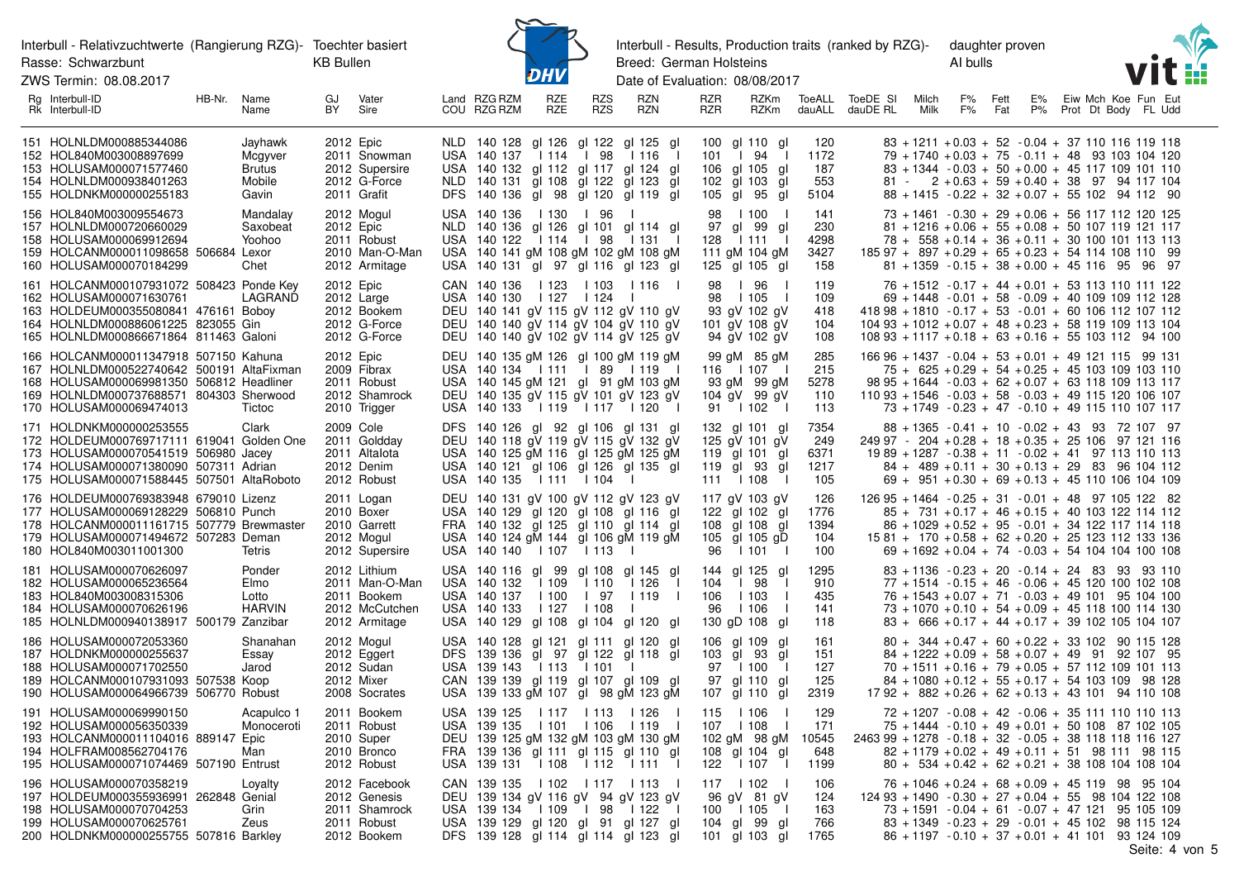ZWS Termin: 08.08.2017



Interbull - Results, Production traits (ranked by RZG)-Breed: German Holsteins

daughter proven Al bulls



| Rg Interbull-ID<br>Rk Interbull-ID                                                                                                                                                                   | HB-Nr. | Name<br>Name                                           | GJ<br>BY | Vater<br>Sire                                                                    | Land RZG RZM<br>COU RZG RZM                 | RZE<br>RZE              | RZS<br>RZS             | RZN<br>RZN                                                                                                                                                                          | RZR<br><b>RZR</b>                                      | RZKm<br><b>RZKm</b>                                                         |                                    | ToeALL ToeDE SI<br>dauALL dauDE RL                     | Milch<br>Milk | F%<br>F% | Fett<br>Fat | E%<br>P% |  | Eiw Mch Koe Fun Eut<br>Prot Dt Body FL Udd                                                                                                                                                                                                                                      |  |
|------------------------------------------------------------------------------------------------------------------------------------------------------------------------------------------------------|--------|--------------------------------------------------------|----------|----------------------------------------------------------------------------------|---------------------------------------------|-------------------------|------------------------|-------------------------------------------------------------------------------------------------------------------------------------------------------------------------------------|--------------------------------------------------------|-----------------------------------------------------------------------------|------------------------------------|--------------------------------------------------------|---------------|----------|-------------|----------|--|---------------------------------------------------------------------------------------------------------------------------------------------------------------------------------------------------------------------------------------------------------------------------------|--|
| 151 HOLNLDM000885344086<br>152 HOL840M003008897699<br>153 HOLUSAM000071577460<br>154 HOLNLDM000938401263<br>155 HOLDNKM000000255183                                                                  |        | Jayhawk<br>Mcgyver<br><b>Brutus</b><br>Mobile<br>Gavin |          | 2012 Epic<br>2011 Snowman<br>2012 Supersire<br>2012 G-Force<br>2011 Grafit       | USA 140 137                                 | 114                     | l 98                   | NLD 140 128 gl 126 gl 122 gl 125 gl<br>l 116<br>$\blacksquare$<br>USA 140 132 gl 112 gl 117 gl 124 gl<br>NLD 140 131 gl 108 gl 122 gl 123 gl<br>DFS 140 136 gl 98 gl 120 gl 119 gl  | $101$ $\quad$<br>106 gl 105<br>102 gl 103<br>105 gl 95 | 100 al 110 al<br>94<br>$\perp$<br>gl<br>gl<br>gl                            | 120<br>1172<br>187<br>553<br>5104  |                                                        |               |          |             |          |  | $83 + 1211 + 0.03 + 52 - 0.04 + 37$ 110 116 119 118<br>79 + 1740 + 0.03 + 75 - 0.11 + 48 93 103 104 120<br>$83 + 1344 - 0.03 + 50 + 0.00 + 45$ 117 109 101 110<br>$81 - 2 + 0.63 + 59 + 0.40 + 38$ 97 94 117 104<br>$88 + 1415 - 0.22 + 32 + 0.07 + 55$ 102 94 112 90           |  |
| 156 HOL840M003009554673<br>157 HOLNLDM000720660029<br>158 HOLUSAM000069912694<br>159 HOLCANM000011098658 506684 Lexor<br>160 HOLUSAM000070184299                                                     |        | Mandalay<br>Saxobeat<br>Yoohoo<br>Chet                 |          | 2012 Mogul<br>2012 Epic<br>2011 Robust<br>2010 Man-O-Man<br>2012 Armitage        | USA 140 136   130   96<br>USA 140 122   114 |                         | l 98                   | $\mathbf{I}$<br>NLD 140 136 gl 126 gl 101 gl 114 gl<br>l 131<br>- 1<br>USA 140 141 gM 108 gM 102 gM 108 gM<br>USA 140 131 gl 97 gl 116 gl 123 gl                                    | 128                                                    | 98   100<br>97 gl 99<br>-al<br>1111<br>111 gM 104 gM<br>125 gl 105 gl       | 141<br>230<br>4298<br>3427<br>158  |                                                        |               |          |             |          |  | 73 + 1461 - 0.30 + 29 + 0.06 + 56 117 112 120 125<br>$81 + 1216 + 0.06 + 55 + 0.08 + 50 107 119 121 117$<br>$78 + 558 + 0.14 + 36 + 0.11 + 30$ 100 101 113 113<br>$18597 + 897 + 0.29 + 65 + 0.23 + 5411410811099$<br>$81 + 1359 - 0.15 + 38 + 0.00 + 45116$ 95 96 97           |  |
| 161 HOLCANM000107931072 508423 Ponde Key<br>162 HOLUSAM000071630761<br>163 HOLDEUM000355080841 476161 Boboy<br>164 HOLNLDM000886061225 823055 Gin<br>165 HOLNLDM000866671864 811463 Galoni           |        | LAGRAND                                                |          | 2012 Epic<br>2012 Large<br>2012 Bookem<br>2012 G-Force<br>2012 G-Force           | USA 140 130                                 | l 127                   | l 124                  | CAN 140 136   123   103   116  <br>$\Box$<br>DEU 140 141 gV 115 gV 112 gV 110 gV<br>DEU 140 140 gV 114 gV 104 gV 110 gV<br>DEU 140 140 gV 102 gV 114 gV 125 gV                      | 98                                                     | 98   96<br>1105<br>$\perp$<br>93 gV 102 gV<br>101 gV 108 gV<br>94 gV 102 gV | 119<br>109<br>418<br>104<br>108    |                                                        |               |          |             |          |  | 76 + 1512 - 0.17 + 44 + 0.01 + 53 113 110 111 122<br>$69 + 1448 - 0.01 + 58 - 0.09 + 40$ 109 109 112 128<br>$41898 + 1810 - 0.17 + 53 - 0.01 + 60 106 112 107 112$<br>$10493 + 1012 + 0.07 + 48 + 0.23 + 58119109113104$<br>$10893 + 1117 + 0.18 + 63 + 0.16 + 55103112$ 94 100 |  |
| 166 HOLCANM000011347918 507150 Kahuna<br>167 HOLNLDM000522740642 500191 AltaFixman<br>168 HOLUSAM000069981350 506812 Headliner<br>169 HOLNLDM000737688571 804303 Sherwood<br>170 HOLUSAM000069474013 |        | Tictoc                                                 |          | 2012 Epic<br>2009 Fibrax<br>2011 Robust<br>2012 Shamrock<br>2010 Trigger         |                                             |                         |                        | DEU 140 135 gM 126 gI 100 gM 119 gM<br>USA 140 134   111   89   119  <br>USA 140 145 gM 121 gI 91 gM 103 gM<br>DEU 140 135 gV 115 gV 101 gV 123 gV<br>USA 140 133   119   117   120 | 116   107                                              | 99 gM 85 gM<br>93 gM 99 gM<br>104 gV 99 gV<br>91   102                      | 285<br>215<br>5278<br>110<br>113   |                                                        |               |          |             |          |  | $16696 + 1437 - 0.04 + 53 + 0.01 + 49121115$ 99 131<br>$75 + 625 + 0.29 + 54 + 0.25 + 45$ 103 109 103 110<br>98 95 + 1644 - 0.03 + 62 + 0.07 + 63 118 109 113 117<br>$11093 + 1546 - 0.03 + 58 - 0.03 + 49115120106107$<br>73 + 1749 - 0.23 + 47 - 0.10 + 49 115 110 107 117    |  |
| 171 HOLDNKM000000253555<br>172 HOLDEUM000769717111 619041 Golden One<br>173 HOLUSAM000070541519 506980 Jacey<br>174 HOLUSAM000071380090 507311 Adrian<br>175 HOLUSAM000071588445 507501 AltaRoboto   |        | Clark                                                  |          | 2009 Cole<br>2011 Goldday<br>2011 Altalota<br>2012 Denim<br>2012 Robust          | USA 140 135   111   104                     |                         |                        | DFS 140 126 gl 92 gl 106 gl 131 gl<br>DEU 140 118 gV 119 gV 115 gV 132 gV<br>USA 140 125 gM 116 gl 125 gM 125 gM<br>USA 140 121 gl 106 gl 126 gl 135 gl                             | 119 gl 101<br>119 gl 93<br>111   108                   | 132 gl 101 gl<br>125 gV 101 gV<br>- al<br>gl                                | 7354<br>249<br>6371<br>1217<br>105 |                                                        |               |          |             |          |  | 88 + 1365 - 0.41 + 10 - 0.02 + 43 93 72 107 97<br>$24997 - 204 + 0.28 + 18 + 0.35 + 25106$ 97 121 116<br>$1989 + 1287 - 0.38 + 11 - 0.02 + 41$ 97 113 110 113<br>$84 + 489 + 0.11 + 30 + 0.13 + 29$ 83 96 104 112<br>$69 + 951 + 0.30 + 69 + 0.13 + 45$ 110 106 104 109         |  |
| 176 HOLDEUM000769383948 679010 Lizenz<br>177 HOLUSAM000069128229 506810 Punch<br>178 HOLCANM000011161715 507779 Brewmaster<br>179 HOLUSAM000071494672 507283 Deman<br>180 HOL840M003011001300        |        | Tetris                                                 |          | 2011 Logan<br>2010 Boxer<br>2010 Garrett<br>2012 Mogul<br>2012 Supersire         | USA 140 140 1107                            |                         | l 113                  | DEU 140 131 gV 100 gV 112 gV 123 gV<br>USA 140 129 gl 120 gl 108 gl 116 gl<br>FRA 140 132 gl 125 gl 110 gl 114 gl<br>USA 140 124 gM 144 gI 106 gM 119 gM                            | 108 gl 108<br>96                                       | 117 gV 103 gV<br>122 gl 102<br>- al<br>gl<br>105 gl 105 gD<br>1101          | 126<br>1776<br>1394<br>104<br>100  |                                                        |               |          |             |          |  | $12695 + 1464 - 0.25 + 31 - 0.01 + 48$ 97 105 122 82<br>$85 + 731 + 0.17 + 46 + 0.15 + 40$ 103 122 114 112<br>$86 + 1029 + 0.52 + 95 - 0.01 + 34 122 117 114 118$<br>$1581 + 170 + 0.58 + 62 + 0.20 + 25123112133136$<br>$69 + 1692 + 0.04 + 74 - 0.03 + 54 104 104 100 108$    |  |
| 181 HOLUSAM000070626097<br>182 HOLUSAM000065236564<br>183 HOL840M003008315306<br>184 HOLUSAM000070626196<br>185 HOLNLDM000940138917 500179 Zanzibar                                                  |        | Ponder<br>Elmo<br>Lotto<br><b>HARVIN</b>               |          | 2012 Lithium<br>2011 Man-O-Man<br>2011 Bookem<br>2012 McCutchen<br>2012 Armitage | USA 140 132<br>USA 140 137<br>USA 140 133   | l 109<br>l 100<br>l 127 | l 110<br>l 97<br>l 108 | USA 140 116 gl 99 gl 108 gl 145 gl<br>l 126<br>$\perp$<br>l 119<br>$\Box$<br>$\mathbf{I}$<br>USA 140 129 gl 108 gl 104 gl 120 gl                                                    | 104<br>106<br>96                                       | 144 gl 125 gl<br>98<br>$\Box$<br>1103<br>1106<br>130 gD 108 gl              | 1295<br>910<br>435<br>141<br>118   |                                                        |               |          |             |          |  | $83 + 1136 - 0.23 + 20 - 0.14 + 24$ 83 93 93 110<br>$77 + 1514 - 0.15 + 46 - 0.06 + 45120100102108$<br>$76 + 1543 + 0.07 + 71 - 0.03 + 49101$ 95 104 100<br>$73 + 1070 + 0.10 + 54 + 0.09 + 45$ 118 100 114 130<br>$83 + 666 + 0.17 + 44 + 0.17 + 39$ 102 105 104 107           |  |
| 186 HOLUSAM000072053360<br>187 HOLDNKM000000255637<br>188 HOLUSAM000071702550<br>189 HOLCANM000107931093 507538 Koop<br>190 HOLUSAM000064966739 506770 Robust                                        |        | Shanahan<br>Essay<br>Jarod                             |          | 2012 Mogul<br>2012 Eggert<br>2012 Sudan<br>2012 Mixer<br>2008 Socrates           | USA 139 143                                 | l 113                   | l 101                  | USA 140 128 gl 121 gl 111 gl 120 gl<br>DFS 139 136 gl 97 gl 122 gl 118 gl<br>- 1<br>CAN 139 139 gl 119 gl 107 gl 109 gl<br>USA 139 133 gM 107 gl 98 gM 123 gM                       | 103 gl 93<br>107 gl 110                                | 106 gl 109 gl<br>gl<br>97   100<br>$\perp$<br>97 al 110<br>-al<br>αI        | 161<br>151<br>127<br>125<br>2319   |                                                        |               |          |             |          |  | $80 + 344 + 0.47 + 60 + 0.22 + 33 + 102$ 90 115 128<br>$84 + 1222 + 0.09 + 58 + 0.07 + 49$ 91 92 107 95<br>$70 + 1511 + 0.16 + 79 + 0.05 + 57$ 112 109 101 113<br>$84 + 1080 + 0.12 + 55 + 0.17 + 54$ 103 109 98 128<br>$1792 + 882 + 0.26 + 62 + 0.13 + 43101$ 94 110 108      |  |
| 191 HOLUSAM000069990150<br>192 HOLUSAM000056350339<br>193 HOLCANM000011104016 889147 Epic<br>194 HOLFRAM008562704176<br>195 HOLUSAM000071074469 507190 Entrust                                       |        | Acapulco 1<br>Monoceroti<br>Man                        |          | 2011 Bookem<br>2011 Robust<br>2010 Super<br>2010 Bronco<br>2012 Robust           | USA 139 125<br>USA 139 131   108   112      |                         | 117   113              | l 126<br>USA 139 135   101   106   119  <br>DEU 139 125 gM 132 gM 103 gM 130 gM<br>FRA 139 136 gl 111 gl 115 gl 110 gl<br>$1111$ 1                                                  | 115<br>107   108<br>122                                | l 106<br>102 gM 98 gM<br>108 gl 104 gl<br>l 107<br>$\mathbf{I}$             | 129<br>171<br>10545<br>648<br>1199 | 2463 99 + 1278 - 0.18 + 32 - 0.05 + 38 118 118 116 127 |               |          |             |          |  | $72 + 1207 - 0.08 + 42 - 0.06 + 35111110110113$<br>$75 + 1444 - 0.10 + 49 + 0.01 + 50$ 108 87 102 105<br>$82 + 1179 + 0.02 + 49 + 0.11 + 51$ 98 111 98 115<br>$80 + 534 + 0.42 + 62 + 0.21 + 38$ 108 104 108 104                                                                |  |
| 196 HOLUSAM000070358219<br>197 HOLDEUM000355936991 262848 Genial<br>198 HOLUSAM000070704253<br>199 HOLUSAM000070625761<br>200 HOLDNKM000000255755 507816 Barkley                                     |        | Loyalty<br>Grin<br>Zeus                                |          | 2012 Facebook<br>2012 Genesis<br>2011 Shamrock<br>2011 Robust<br>2012 Bookem     | USA 139 134   109                           |                         | l 98                   | CAN 139 135   102   117   113  <br>DEU 139 134 gV 116 gV 94 gV 123 gV<br>l 122<br>$\sim$ 1.<br>USA 139 129 gl 120 gl 91 gl 127 gl<br>DFS 139 128 gl 114 gl 114 gl 123 gl            | 117   102<br>100<br>104 gl 99                          | 96 gV 81 gV<br>  105<br>$\perp$<br>- al<br>101 gl 103 gl                    | 106<br>124<br>163<br>766<br>1765   |                                                        |               |          |             |          |  | $76 + 1046 + 0.24 + 68 + 0.09 + 45$ 119 98 95 104<br>$12493 + 1490 - 0.30 + 27 + 0.04 + 5598104122108$<br>73 + 1591 - 0.04 + 61 - 0.07 + 47 121 95 105 109<br>83 + 1349 - 0.23 + 29 - 0.01 + 45 102 98 115 124<br>86 + 1197 - 0.10 + 37 + 0.01 + 41 101 93 124 109              |  |